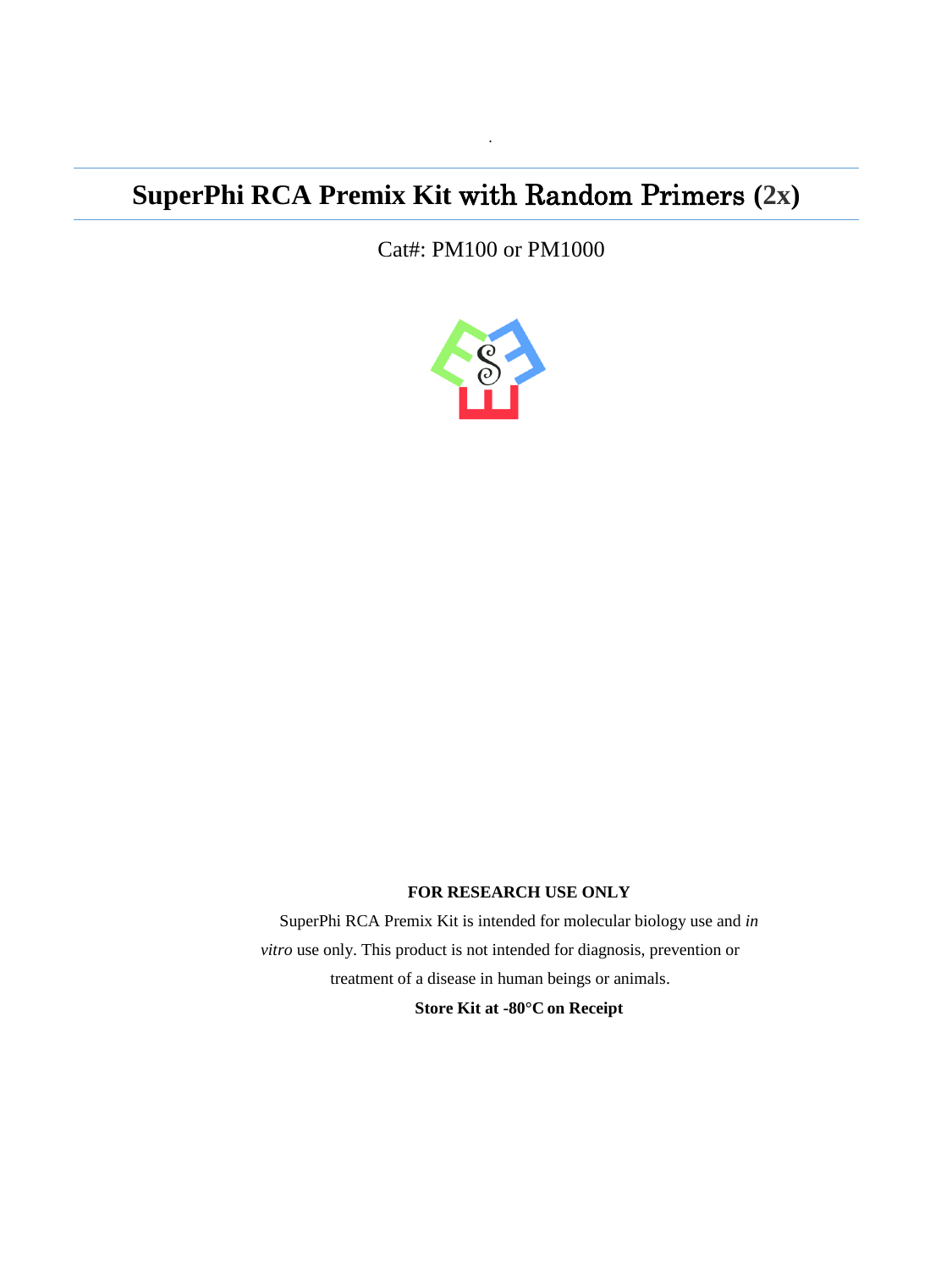# **SuperPhi RCA Premix Kit** with Random Primers **(2x)**

Cat#: PM100 or PM1000

·



#### **FOR RESEARCH USE ONLY**

SuperPhi RCA Premix Kit is intended for molecular biology use and *in vitro* use only. This product is not intended for diagnosis, prevention or treatment of a disease in human beings or animals.

**Store Kit at -80°C on Receipt**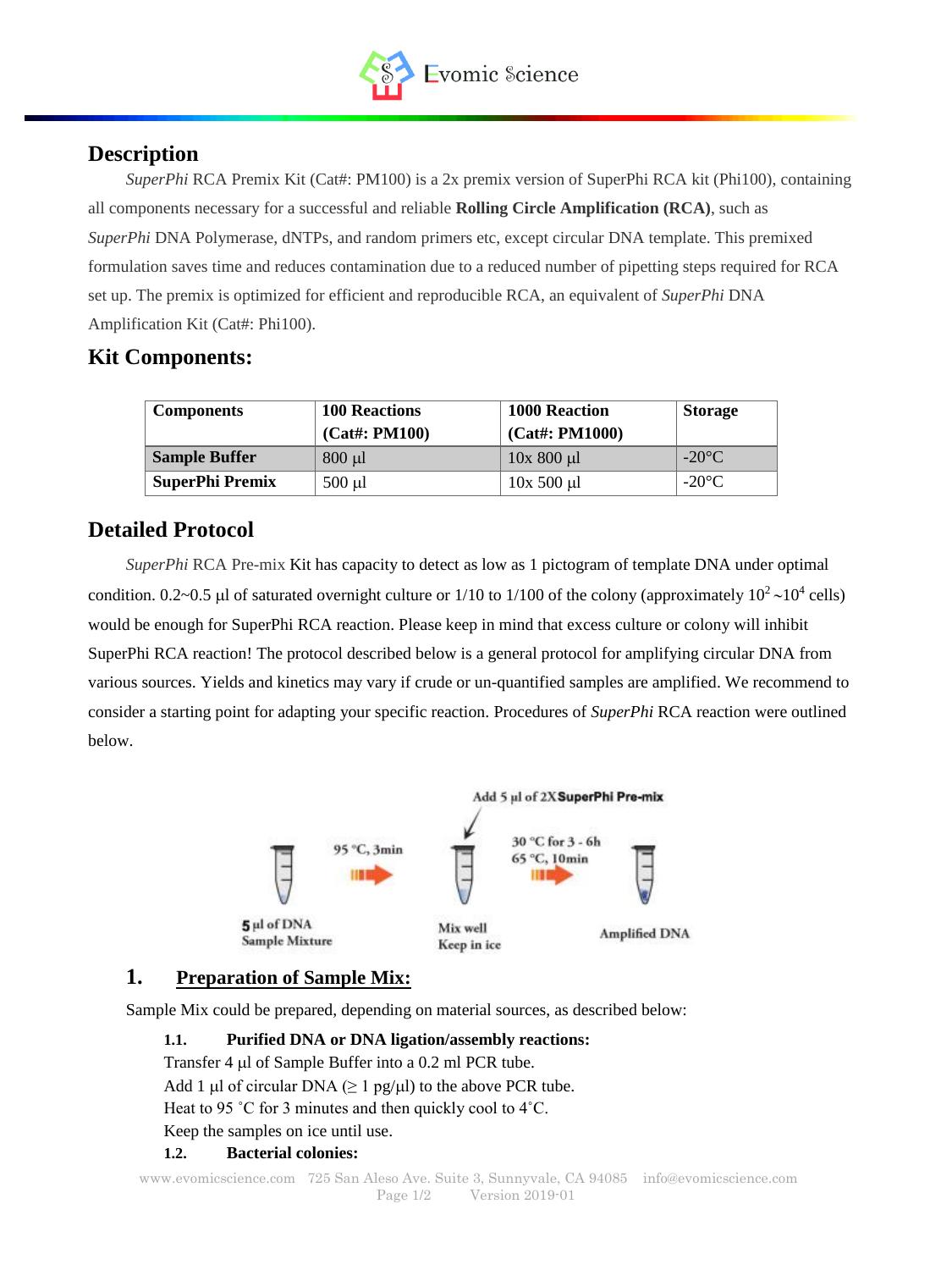

## **Description**

*SuperPhi* RCA Premix Kit (Cat#: PM100) is a 2x premix version of SuperPhi RCA kit (Phi100), containing all components necessary for a successful and reliable **Rolling Circle Amplification (RCA)**, such as *SuperPhi* DNA Polymerase, dNTPs, and random primers etc, except circular DNA template. This premixed formulation saves time and reduces contamination due to a reduced number of pipetting steps required for RCA set up. The premix is optimized for efficient and reproducible RCA, an equivalent of *SuperPhi* DNA Amplification Kit (Cat#: Phi100).

# **Kit Components:**

| <b>Components</b>      | <b>100 Reactions</b><br>$(Cat\#: PM100)$ | <b>1000 Reaction</b><br>$(Cat\#: PM1000)$ | <b>Storage</b>  |
|------------------------|------------------------------------------|-------------------------------------------|-----------------|
| <b>Sample Buffer</b>   | $800 \mu l$                              | $10x800 \mu l$                            | $-20^{\circ}$ C |
| <b>SuperPhi Premix</b> | $500 \mu l$                              | $10x\ 500\ \mu l$                         | $-20^{\circ}$ C |

# **Detailed Protocol**

*SuperPhi* RCA Pre-mix Kit has capacity to detect as low as 1 pictogram of template DNA under optimal condition. 0.2~0.5 µl of saturated overnight culture or  $1/10$  to  $1/100$  of the colony (approximately  $10^2 \sim 10^4$  cells) would be enough for SuperPhi RCA reaction. Please keep in mind that excess culture or colony will inhibit SuperPhi RCA reaction! The protocol described below is a general protocol for amplifying circular DNA from various sources. Yields and kinetics may vary if crude or un-quantified samples are amplified. We recommend to consider a starting point for adapting your specific reaction. Procedures of *SuperPhi* RCA reaction were outlined below.



## **1. Preparation of Sample Mix:**

Sample Mix could be prepared, depending on material sources, as described below:

## **1.1. Purified DNA or DNA ligation/assembly reactions:**

Transfer 4  $\mu$ l of Sample Buffer into a 0.2 ml PCR tube.

Add 1 µl of circular DNA ( $\geq 1$  pg/ $\mu$ l) to the above PCR tube.

Heat to 95 ˚C for 3 minutes and then quickly cool to 4˚C.

Keep the samples on ice until use.

## **1.2. Bacterial colonies:**